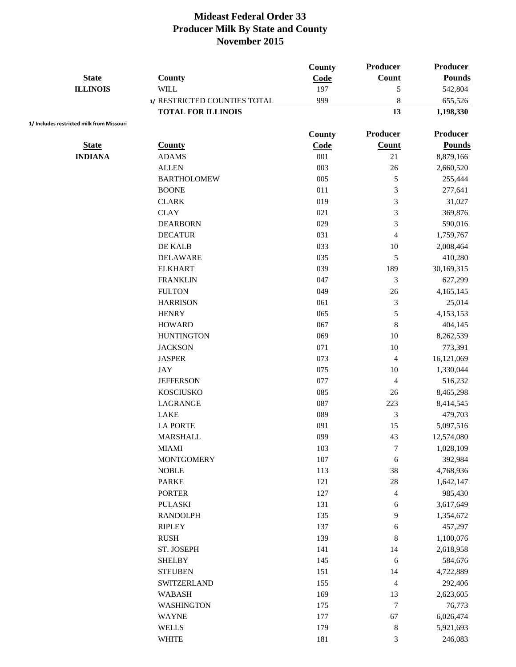|                                           |                              | County | <b>Producer</b> | <b>Producer</b> |
|-------------------------------------------|------------------------------|--------|-----------------|-----------------|
| <b>State</b>                              | County                       | Code   | Count           | <b>Pounds</b>   |
| <b>ILLINOIS</b>                           | <b>WILL</b>                  | 197    | 5               | 542,804         |
|                                           | 1/ RESTRICTED COUNTIES TOTAL | 999    | 8               | 655,526         |
|                                           | <b>TOTAL FOR ILLINOIS</b>    |        | 13              | 1,198,330       |
| 1/ Includes restricted milk from Missouri |                              | County | <b>Producer</b> | Producer        |
| <b>State</b>                              | <b>County</b>                | Code   | Count           | <b>Pounds</b>   |
| <b>INDIANA</b>                            | <b>ADAMS</b>                 | 001    | 21              | 8,879,166       |
|                                           | <b>ALLEN</b>                 | 003    | 26              | 2,660,520       |
|                                           | <b>BARTHOLOMEW</b>           | 005    | 5               | 255,444         |
|                                           | <b>BOONE</b>                 | 011    | 3               | 277,641         |
|                                           | <b>CLARK</b>                 | 019    | 3               | 31,027          |
|                                           | <b>CLAY</b>                  | 021    | 3               | 369,876         |
|                                           | <b>DEARBORN</b>              | 029    | 3               | 590,016         |
|                                           | <b>DECATUR</b>               | 031    | 4               | 1,759,767       |
|                                           | DE KALB                      | 033    | 10              | 2,008,464       |
|                                           | <b>DELAWARE</b>              | 035    | 5               | 410,280         |
|                                           | <b>ELKHART</b>               | 039    | 189             | 30,169,315      |
|                                           | <b>FRANKLIN</b>              | 047    | 3               | 627,299         |
|                                           | <b>FULTON</b>                | 049    | 26              | 4,165,145       |
|                                           | <b>HARRISON</b>              | 061    | 3               | 25,014          |
|                                           | <b>HENRY</b>                 | 065    | 5               | 4,153,153       |
|                                           | <b>HOWARD</b>                | 067    | 8               | 404,145         |
|                                           | <b>HUNTINGTON</b>            | 069    | 10              | 8,262,539       |
|                                           | <b>JACKSON</b>               | 071    | 10              | 773,391         |
|                                           | <b>JASPER</b>                | 073    | 4               | 16,121,069      |
|                                           | JAY                          | 075    | 10              | 1,330,044       |
|                                           | <b>JEFFERSON</b>             | 077    | 4               | 516,232         |
|                                           | <b>KOSCIUSKO</b>             | 085    | 26              | 8,465,298       |
|                                           | LAGRANGE                     | 087    | 223             | 8,414,545       |
|                                           | <b>LAKE</b>                  | 089    | 3               | 479,703         |
|                                           | <b>LA PORTE</b>              | 091    | 15              | 5,097,516       |
|                                           | <b>MARSHALL</b>              | 099    | 43              | 12,574,080      |
|                                           | <b>MIAMI</b>                 | 103    | $\tau$          | 1,028,109       |
|                                           | <b>MONTGOMERY</b>            | 107    | 6               | 392,984         |
|                                           | <b>NOBLE</b>                 | 113    | 38              | 4,768,936       |
|                                           | <b>PARKE</b>                 | 121    | 28              | 1,642,147       |
|                                           | <b>PORTER</b>                | 127    | 4               | 985,430         |
|                                           | <b>PULASKI</b>               | 131    | 6               | 3,617,649       |
|                                           | <b>RANDOLPH</b>              | 135    | 9               | 1,354,672       |
|                                           | <b>RIPLEY</b>                | 137    | 6               | 457,297         |
|                                           | <b>RUSH</b>                  | 139    | 8               | 1,100,076       |
|                                           | ST. JOSEPH                   | 141    | 14              | 2,618,958       |
|                                           | <b>SHELBY</b>                | 145    | 6               | 584,676         |
|                                           | <b>STEUBEN</b>               | 151    | 14              | 4,722,889       |
|                                           | SWITZERLAND                  | 155    | 4               | 292,406         |
|                                           | <b>WABASH</b>                | 169    | 13              | 2,623,605       |
|                                           | <b>WASHINGTON</b>            | 175    | $\tau$          | 76,773          |
|                                           | <b>WAYNE</b>                 | 177    | 67              | 6,026,474       |
|                                           | <b>WELLS</b>                 | 179    | $\,8\,$         | 5,921,693       |
|                                           | <b>WHITE</b>                 | 181    | 3               | 246,083         |
|                                           |                              |        |                 |                 |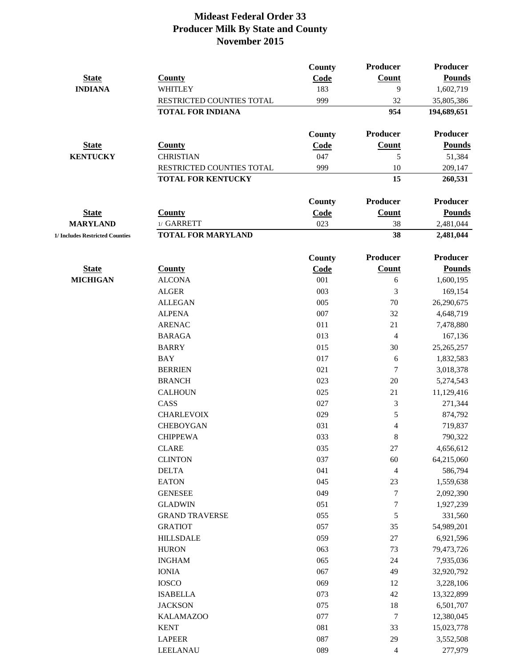|                                 |                           | County        | <b>Producer</b> | <b>Producer</b> |
|---------------------------------|---------------------------|---------------|-----------------|-----------------|
| <b>State</b>                    | <b>County</b>             | Code          | <b>Count</b>    | <b>Pounds</b>   |
| <b>INDIANA</b>                  | WHITLEY                   | 183           | 9               | 1,602,719       |
|                                 | RESTRICTED COUNTIES TOTAL | 999           | 32              | 35,805,386      |
|                                 | <b>TOTAL FOR INDIANA</b>  |               | 954             | 194,689,651     |
|                                 |                           | <b>County</b> | <b>Producer</b> | <b>Producer</b> |
| <b>State</b>                    | <b>County</b>             | Code          | Count           | <b>Pounds</b>   |
| <b>KENTUCKY</b>                 | <b>CHRISTIAN</b>          | 047           | 5               | 51,384          |
|                                 | RESTRICTED COUNTIES TOTAL | 999           | 10              | 209,147         |
|                                 | <b>TOTAL FOR KENTUCKY</b> |               | 15              | 260,531         |
|                                 |                           | County        | <b>Producer</b> | <b>Producer</b> |
| <b>State</b>                    | <b>County</b>             | Code          | Count           | <b>Pounds</b>   |
| <b>MARYLAND</b>                 | 1/ GARRETT                | 023           | 38              | 2,481,044       |
| 1/ Includes Restricted Counties | <b>TOTAL FOR MARYLAND</b> |               | 38              | 2,481,044       |
|                                 |                           | County        | <b>Producer</b> | Producer        |
| <b>State</b>                    | <b>County</b>             | Code          | Count           | <b>Pounds</b>   |
| <b>MICHIGAN</b>                 | <b>ALCONA</b>             | 001           | 6               | 1,600,195       |
|                                 | <b>ALGER</b>              | 003           | 3               | 169,154         |
|                                 | <b>ALLEGAN</b>            | 005           | $70\,$          | 26,290,675      |
|                                 | <b>ALPENA</b>             | 007           | 32              | 4,648,719       |
|                                 | <b>ARENAC</b>             | 011           | 21              | 7,478,880       |
|                                 | <b>BARAGA</b>             | 013           | $\overline{4}$  | 167,136         |
|                                 | <b>BARRY</b>              | 015           | 30              | 25,265,257      |
|                                 | <b>BAY</b>                | 017           | 6               | 1,832,583       |
|                                 | <b>BERRIEN</b>            | 021           | 7               | 3,018,378       |
|                                 | <b>BRANCH</b>             | 023           | 20              | 5,274,543       |
|                                 | <b>CALHOUN</b>            | 025           | 21              | 11,129,416      |
|                                 | CASS                      | 027           | 3               | 271,344         |
|                                 | <b>CHARLEVOIX</b>         | 029           | 5               | 874,792         |
|                                 | <b>CHEBOYGAN</b>          | 031           | 4               | 719,837         |
|                                 | <b>CHIPPEWA</b>           | 033           | 8               | 790,322         |
|                                 | <b>CLARE</b>              | 035           | $27\,$          | 4,656,612       |
|                                 | <b>CLINTON</b>            | 037           | 60              | 64,215,060      |
|                                 | <b>DELTA</b>              | 041           | 4               | 586,794         |
|                                 | <b>EATON</b>              | 045           | 23              | 1,559,638       |
|                                 | <b>GENESEE</b>            | 049           | 7               | 2,092,390       |
|                                 | <b>GLADWIN</b>            | 051           | 7               | 1,927,239       |
|                                 | <b>GRAND TRAVERSE</b>     | 055           | 5               | 331,560         |
|                                 | <b>GRATIOT</b>            | 057           | 35              | 54,989,201      |
|                                 | <b>HILLSDALE</b>          | 059           | 27              | 6,921,596       |
|                                 | <b>HURON</b>              | 063           | 73              | 79,473,726      |
|                                 | <b>INGHAM</b>             | 065           | 24              | 7,935,036       |
|                                 | <b>IONIA</b>              | 067           | 49              | 32,920,792      |
|                                 | <b>IOSCO</b>              | 069           | 12              | 3,228,106       |
|                                 | <b>ISABELLA</b>           | 073           | 42              | 13,322,899      |
|                                 | <b>JACKSON</b>            | 075           | 18              | 6,501,707       |
|                                 | <b>KALAMAZOO</b>          | 077           | 7               | 12,380,045      |
|                                 | <b>KENT</b>               | 081           | 33              | 15,023,778      |
|                                 | <b>LAPEER</b>             | 087           | 29              | 3,552,508       |
|                                 | LEELANAU                  | 089           | 4               | 277,979         |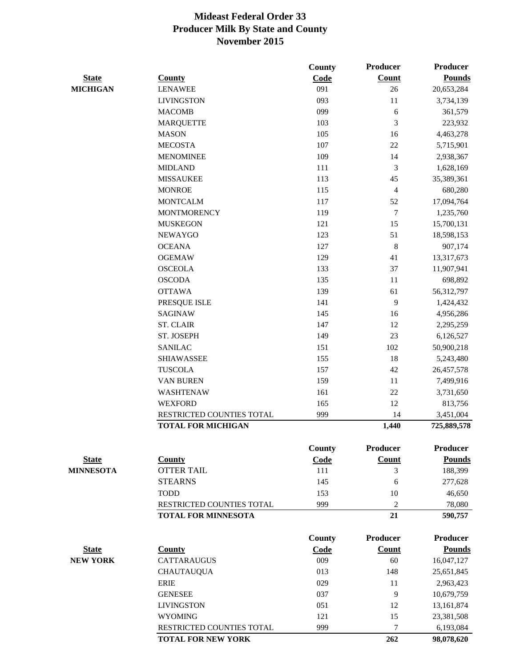|                  |                            | <b>County</b> | Producer         | <b>Producer</b> |
|------------------|----------------------------|---------------|------------------|-----------------|
| <b>State</b>     | <b>County</b>              | Code          | Count            | <b>Pounds</b>   |
| <b>MICHIGAN</b>  | <b>LENAWEE</b>             | 091           | 26               | 20,653,284      |
|                  | <b>LIVINGSTON</b>          | 093           | 11               | 3,734,139       |
|                  | <b>MACOMB</b>              | 099           | 6                | 361,579         |
|                  | <b>MARQUETTE</b>           | 103           | 3                | 223,932         |
|                  | <b>MASON</b>               | 105           | 16               | 4,463,278       |
|                  | <b>MECOSTA</b>             | 107           | 22               | 5,715,901       |
|                  | <b>MENOMINEE</b>           | 109           | 14               | 2,938,367       |
|                  | <b>MIDLAND</b>             | 111           | 3                | 1,628,169       |
|                  | <b>MISSAUKEE</b>           | 113           | 45               | 35,389,361      |
|                  | <b>MONROE</b>              | 115           | 4                | 680,280         |
|                  | <b>MONTCALM</b>            | 117           | 52               | 17,094,764      |
|                  | <b>MONTMORENCY</b>         | 119           | 7                | 1,235,760       |
|                  | <b>MUSKEGON</b>            | 121           | 15               | 15,700,131      |
|                  | <b>NEWAYGO</b>             | 123           | 51               | 18,598,153      |
|                  | <b>OCEANA</b>              | 127           | $\boldsymbol{8}$ | 907,174         |
|                  | <b>OGEMAW</b>              | 129           | 41               | 13,317,673      |
|                  | <b>OSCEOLA</b>             | 133           | 37               | 11,907,941      |
|                  | <b>OSCODA</b>              | 135           | 11               | 698,892         |
|                  | <b>OTTAWA</b>              | 139           | 61               | 56,312,797      |
|                  | PRESQUE ISLE               | 141           | 9                | 1,424,432       |
|                  | SAGINAW                    | 145           | 16               | 4,956,286       |
|                  | <b>ST. CLAIR</b>           | 147           | 12               | 2,295,259       |
|                  | ST. JOSEPH                 | 149           | 23               | 6,126,527       |
|                  | <b>SANILAC</b>             | 151           | 102              | 50,900,218      |
|                  | <b>SHIAWASSEE</b>          | 155           | 18               | 5,243,480       |
|                  | <b>TUSCOLA</b>             | 157           | 42               | 26,457,578      |
|                  | <b>VAN BUREN</b>           | 159           | 11               | 7,499,916       |
|                  | WASHTENAW                  | 161           | 22               | 3,731,650       |
|                  | <b>WEXFORD</b>             | 165           | 12               | 813,756         |
|                  | RESTRICTED COUNTIES TOTAL  | 999           | 14               | 3,451,004       |
|                  | <b>TOTAL FOR MICHIGAN</b>  |               | 1,440            | 725,889,578     |
|                  |                            | <b>County</b> | Producer         | <b>Producer</b> |
| <b>State</b>     | <b>County</b>              | Code          | <b>Count</b>     | <b>Pounds</b>   |
| <b>MINNESOTA</b> | <b>OTTER TAIL</b>          | 111           | 3                | 188,399         |
|                  | <b>STEARNS</b>             | 145           | 6                | 277,628         |
|                  | <b>TODD</b>                | 153           | 10               | 46,650          |
|                  | RESTRICTED COUNTIES TOTAL  | 999           | 2                | 78,080          |
|                  | <b>TOTAL FOR MINNESOTA</b> |               | 21               | 590,757         |
|                  |                            | <b>County</b> | Producer         | <b>Producer</b> |
| <b>State</b>     | <b>County</b>              | Code          | Count            | <b>Pounds</b>   |
| <b>NEW YORK</b>  | <b>CATTARAUGUS</b>         | 009           | 60               | 16,047,127      |
|                  | <b>CHAUTAUQUA</b>          | 013           | 148              | 25,651,845      |
|                  | <b>ERIE</b>                | 029           | 11               | 2,963,423       |
|                  | <b>GENESEE</b>             | 037           | 9                | 10,679,759      |
|                  | <b>LIVINGSTON</b>          | 051           | 12               | 13,161,874      |
|                  | <b>WYOMING</b>             | 121           | 15               | 23,381,508      |
|                  | RESTRICTED COUNTIES TOTAL  | 999           | 7                | 6,193,084       |
|                  | <b>TOTAL FOR NEW YORK</b>  |               | 262              | 98,078,620      |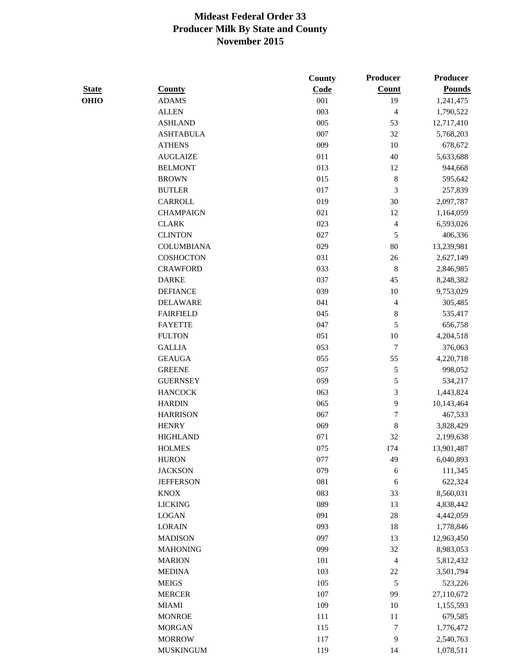|              |                   | County | Producer       | <b>Producer</b> |
|--------------|-------------------|--------|----------------|-----------------|
| <b>State</b> | <b>County</b>     | Code   | <b>Count</b>   | <b>Pounds</b>   |
| <b>OHIO</b>  | <b>ADAMS</b>      | 001    | 19             | 1,241,475       |
|              | <b>ALLEN</b>      | 003    | $\overline{4}$ | 1,790,522       |
|              | <b>ASHLAND</b>    | 005    | 53             | 12,717,410      |
|              | <b>ASHTABULA</b>  | 007    | 32             | 5,768,203       |
|              | <b>ATHENS</b>     | 009    | 10             | 678,672         |
|              | <b>AUGLAIZE</b>   | 011    | 40             | 5,633,688       |
|              | <b>BELMONT</b>    | 013    | 12             | 944,668         |
|              | <b>BROWN</b>      | 015    | $\,$ 8 $\,$    | 595,642         |
|              | <b>BUTLER</b>     | 017    | 3              | 257,839         |
|              | CARROLL           | 019    | 30             | 2,097,787       |
|              | <b>CHAMPAIGN</b>  | 021    | 12             | 1,164,059       |
|              | <b>CLARK</b>      | 023    | 4              | 6,593,026       |
|              | <b>CLINTON</b>    | 027    | 5              | 406,336         |
|              | <b>COLUMBIANA</b> | 029    | $80\,$         | 13,239,981      |
|              | <b>COSHOCTON</b>  | 031    | $26\,$         | 2,627,149       |
|              | <b>CRAWFORD</b>   | 033    | $\,$ 8 $\,$    | 2,846,985       |
|              | <b>DARKE</b>      | 037    | 45             | 8,248,382       |
|              | <b>DEFIANCE</b>   | 039    | 10             | 9,753,029       |
|              | <b>DELAWARE</b>   | 041    | 4              | 305,485         |
|              | <b>FAIRFIELD</b>  | 045    | $\,8\,$        | 535,417         |
|              | <b>FAYETTE</b>    | 047    | 5              | 656,758         |
|              | <b>FULTON</b>     | 051    | $10\,$         | 4,204,518       |
|              | <b>GALLIA</b>     | 053    | $\tau$         | 376,063         |
|              | <b>GEAUGA</b>     | 055    | 55             | 4,220,718       |
|              | <b>GREENE</b>     | 057    | 5              | 998,052         |
|              | <b>GUERNSEY</b>   | 059    | 5              | 534,217         |
|              | <b>HANCOCK</b>    | 063    | 3              | 1,443,824       |
|              | <b>HARDIN</b>     | 065    | 9              | 10,143,464      |
|              | <b>HARRISON</b>   | 067    | $\sqrt{ }$     | 467,533         |
|              | <b>HENRY</b>      | 069    | 8              | 3,828,429       |
|              | <b>HIGHLAND</b>   | 071    | 32             | 2,199,638       |
|              | <b>HOLMES</b>     | 075    | 174            | 13,901,487      |
|              | <b>HURON</b>      | 077    | 49             | 6,040,893       |
|              | <b>JACKSON</b>    | 079    | 6              | 111,345         |
|              | <b>JEFFERSON</b>  | 081    | 6              | 622,324         |
|              | <b>KNOX</b>       | 083    | 33             | 8,560,031       |
|              | <b>LICKING</b>    | 089    | 13             | 4,838,442       |
|              | <b>LOGAN</b>      | 091    | 28             | 4,442,059       |
|              | <b>LORAIN</b>     | 093    | 18             | 1,778,846       |
|              | <b>MADISON</b>    | 097    | 13             | 12,963,450      |
|              | <b>MAHONING</b>   | 099    | 32             | 8,983,053       |
|              | <b>MARION</b>     | 101    | 4              | 5,812,432       |
|              | <b>MEDINA</b>     | 103    | 22             | 3,501,794       |
|              | <b>MEIGS</b>      | 105    | 5              | 523,226         |
|              | <b>MERCER</b>     | 107    | 99             | 27,110,672      |
|              | <b>MIAMI</b>      | 109    | 10             | 1,155,593       |
|              | <b>MONROE</b>     | 111    | 11             | 679,585         |
|              | <b>MORGAN</b>     | 115    | $\sqrt{ }$     | 1,776,472       |
|              | <b>MORROW</b>     | 117    | 9              | 2,540,763       |
|              | <b>MUSKINGUM</b>  | 119    | 14             | 1,078,511       |
|              |                   |        |                |                 |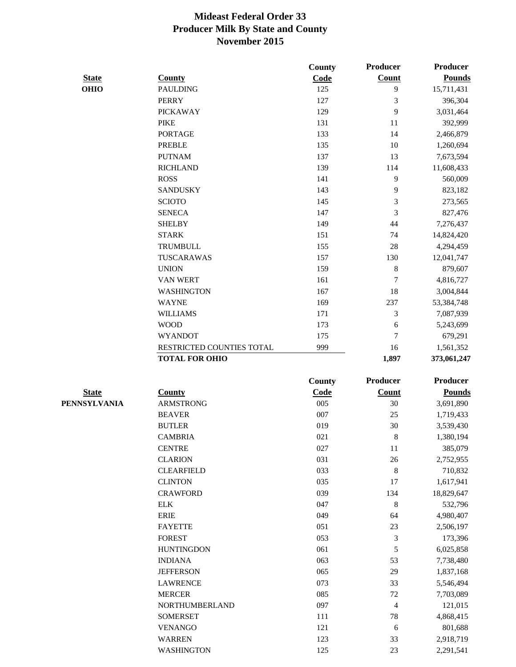|              |                           | <b>County</b> | Producer       | <b>Producer</b> |
|--------------|---------------------------|---------------|----------------|-----------------|
| <b>State</b> | <b>County</b>             | Code          | Count          | <b>Pounds</b>   |
| <b>OHIO</b>  | <b>PAULDING</b>           | 125           | 9              | 15,711,431      |
|              | <b>PERRY</b>              | 127           | 3              | 396,304         |
|              | <b>PICKAWAY</b>           | 129           | 9              | 3,031,464       |
|              | <b>PIKE</b>               | 131           | 11             | 392,999         |
|              | <b>PORTAGE</b>            | 133           | 14             | 2,466,879       |
|              | <b>PREBLE</b>             | 135           | 10             | 1,260,694       |
|              | <b>PUTNAM</b>             | 137           | 13             | 7,673,594       |
|              | <b>RICHLAND</b>           | 139           | 114            | 11,608,433      |
|              | <b>ROSS</b>               | 141           | 9              | 560,009         |
|              | <b>SANDUSKY</b>           | 143           | 9              | 823,182         |
|              | <b>SCIOTO</b>             | 145           | 3              | 273,565         |
|              | <b>SENECA</b>             | 147           | 3              | 827,476         |
|              | <b>SHELBY</b>             | 149           | 44             | 7,276,437       |
|              | <b>STARK</b>              | 151           | 74             | 14,824,420      |
|              | <b>TRUMBULL</b>           | 155           | $28\,$         | 4,294,459       |
|              | TUSCARAWAS                | 157           | 130            | 12,041,747      |
|              | <b>UNION</b>              | 159           | 8              | 879,607         |
|              | <b>VAN WERT</b>           | 161           | 7              | 4,816,727       |
|              | <b>WASHINGTON</b>         | 167           | 18             | 3,004,844       |
|              | <b>WAYNE</b>              | 169           | 237            | 53,384,748      |
|              | <b>WILLIAMS</b>           | 171           | 3              | 7,087,939       |
|              | <b>WOOD</b>               | 173           | 6              | 5,243,699       |
|              | <b>WYANDOT</b>            | 175           | 7              | 679,291         |
|              | RESTRICTED COUNTIES TOTAL | 999           | 16             | 1,561,352       |
|              | <b>TOTAL FOR OHIO</b>     |               | 1,897          | 373,061,247     |
|              |                           |               |                |                 |
|              |                           | <b>County</b> | Producer       | <b>Producer</b> |
| <b>State</b> | <b>County</b>             | Code          | <b>Count</b>   | <b>Pounds</b>   |
| PENNSYLVANIA | <b>ARMSTRONG</b>          | 005           | 30             | 3,691,890       |
|              | <b>BEAVER</b>             | 007           | 25             | 1,719,433       |
|              | <b>BUTLER</b>             | 019           | 30             | 3,539,430       |
|              | <b>CAMBRIA</b>            | 021           | $8\phantom{1}$ | 1,380,194       |
|              | <b>CENTRE</b>             | 027           | 11             | 385,079         |
|              | <b>CLARION</b>            | 031           | $26\,$         | 2,752,955       |
|              | <b>CLEARFIELD</b>         | 033           | $\,8\,$        | 710,832         |
|              | <b>CLINTON</b>            | 035           | 17             | 1,617,941       |
|              | <b>CRAWFORD</b>           | 039           | 134            | 18,829,647      |
|              | <b>ELK</b>                | 047           | $\,8\,$        | 532,796         |
|              | <b>ERIE</b>               | 049           | 64             | 4,980,407       |
|              | <b>FAYETTE</b>            | 051           | 23             | 2,506,197       |
|              | <b>FOREST</b>             | 053           | 3              | 173,396         |
|              | <b>HUNTINGDON</b>         | 061           | 5              | 6,025,858       |
|              | <b>INDIANA</b>            | 063           | 53             | 7,738,480       |
|              | <b>JEFFERSON</b>          | 065           | 29             | 1,837,168       |
|              | <b>LAWRENCE</b>           | 073           | 33             | 5,546,494       |
|              | <b>MERCER</b>             | 085           | 72             | 7,703,089       |
|              | NORTHUMBERLAND            | 097           | 4              | 121,015         |
|              | <b>SOMERSET</b>           | 111           | 78             | 4,868,415       |
|              | <b>VENANGO</b>            | 121           | 6              | 801,688         |
|              | <b>WARREN</b>             | 123           | 33             | 2,918,719       |
|              | <b>WASHINGTON</b>         | 125           | 23             | 2,291,541       |
|              |                           |               |                |                 |